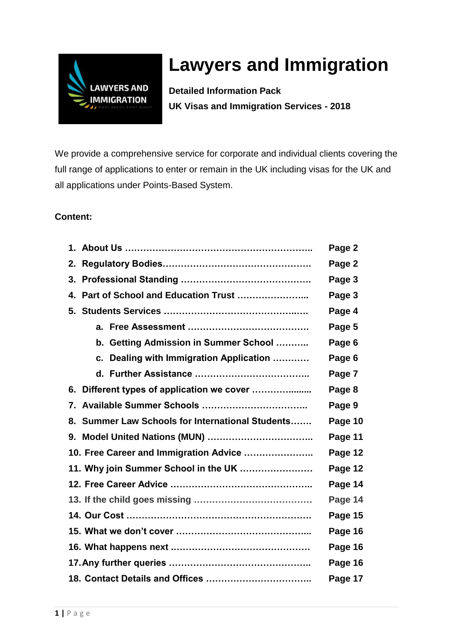

# **Lawyers and Immigration**

**Detailed Information Pack UK Visas and Immigration Services - 2018**

We provide a comprehensive service for corporate and individual clients covering the full range of applications to enter or remain in the UK including visas for the UK and all applications under Points-Based System.

### **Content:**

|                                                  | Page 2  |
|--------------------------------------------------|---------|
|                                                  | Page 2  |
|                                                  | Page 3  |
|                                                  | Page 3  |
|                                                  | Page 4  |
|                                                  | Page 5  |
| b. Getting Admission in Summer School            | Page 6  |
| c. Dealing with Immigration Application          | Page 6  |
|                                                  | Page 7  |
| 6. Different types of application we cover       | Page 8  |
|                                                  | Page 9  |
| 8. Summer Law Schools for International Students | Page 10 |
|                                                  | Page 11 |
| 10. Free Career and Immigration Advice           | Page 12 |
| 11. Why join Summer School in the UK             | Page 12 |
|                                                  | Page 14 |
|                                                  | Page 14 |
|                                                  | Page 15 |
|                                                  | Page 16 |
|                                                  | Page 16 |
|                                                  | Page 16 |
|                                                  | Page 17 |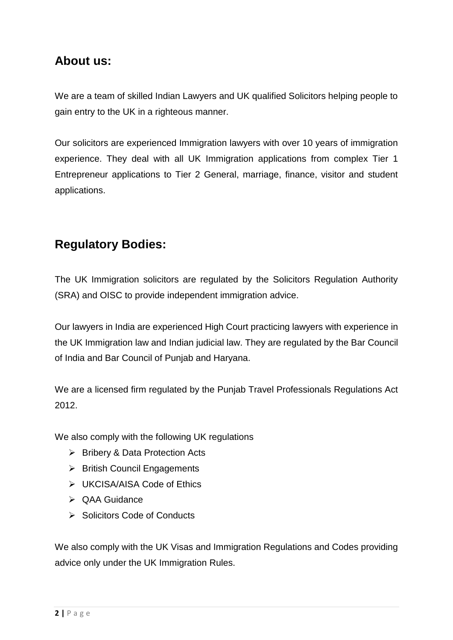### **About us:**

We are a team of skilled Indian Lawyers and UK qualified Solicitors helping people to gain entry to the UK in a righteous manner.

Our solicitors are experienced Immigration lawyers with over 10 years of immigration experience. They deal with all UK Immigration applications from complex Tier 1 Entrepreneur applications to Tier 2 General, marriage, finance, visitor and student applications.

# **Regulatory Bodies:**

The UK Immigration solicitors are regulated by the Solicitors Regulation Authority (SRA) and OISC to provide independent immigration advice.

Our lawyers in India are experienced High Court practicing lawyers with experience in the UK Immigration law and Indian judicial law. They are regulated by the Bar Council of India and Bar Council of Punjab and Haryana.

We are a licensed firm regulated by the Puniab Travel Professionals Regulations Act 2012.

We also comply with the following UK regulations

- $\triangleright$  Bribery & Data Protection Acts
- $\triangleright$  British Council Engagements
- > UKCISA/AISA Code of Ethics
- ▶ QAA Guidance
- $\triangleright$  Solicitors Code of Conducts

We also comply with the UK Visas and Immigration Regulations and Codes providing advice only under the UK Immigration Rules.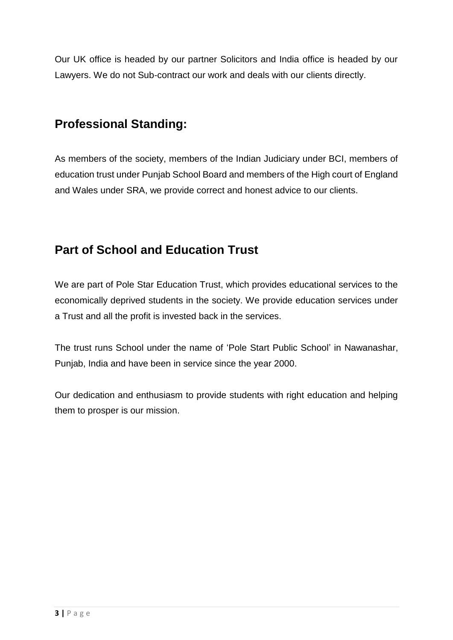Our UK office is headed by our partner Solicitors and India office is headed by our Lawyers. We do not Sub-contract our work and deals with our clients directly.

# **Professional Standing:**

As members of the society, members of the Indian Judiciary under BCI, members of education trust under Punjab School Board and members of the High court of England and Wales under SRA, we provide correct and honest advice to our clients.

# **Part of School and Education Trust**

We are part of Pole Star Education Trust, which provides educational services to the economically deprived students in the society. We provide education services under a Trust and all the profit is invested back in the services.

The trust runs School under the name of 'Pole Start Public School' in Nawanashar, Punjab, India and have been in service since the year 2000.

Our dedication and enthusiasm to provide students with right education and helping them to prosper is our mission.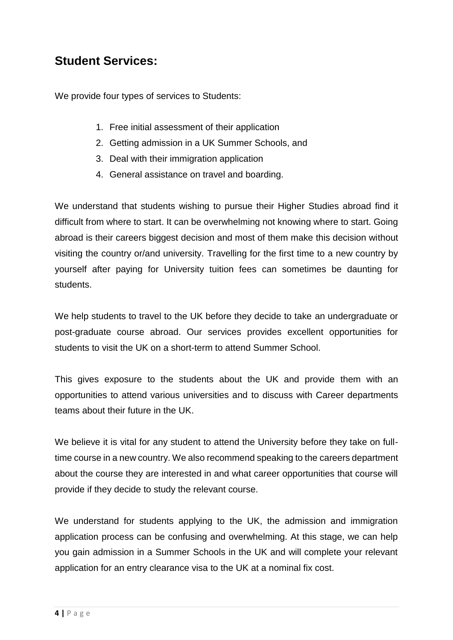### **Student Services:**

We provide four types of services to Students:

- 1. Free initial assessment of their application
- 2. Getting admission in a UK Summer Schools, and
- 3. Deal with their immigration application
- 4. General assistance on travel and boarding.

We understand that students wishing to pursue their Higher Studies abroad find it difficult from where to start. It can be overwhelming not knowing where to start. Going abroad is their careers biggest decision and most of them make this decision without visiting the country or/and university. Travelling for the first time to a new country by yourself after paying for University tuition fees can sometimes be daunting for students.

We help students to travel to the UK before they decide to take an undergraduate or post-graduate course abroad. Our services provides excellent opportunities for students to visit the UK on a short-term to attend Summer School.

This gives exposure to the students about the UK and provide them with an opportunities to attend various universities and to discuss with Career departments teams about their future in the UK.

We believe it is vital for any student to attend the University before they take on fulltime course in a new country. We also recommend speaking to the careers department about the course they are interested in and what career opportunities that course will provide if they decide to study the relevant course.

We understand for students applying to the UK, the admission and immigration application process can be confusing and overwhelming. At this stage, we can help you gain admission in a Summer Schools in the UK and will complete your relevant application for an entry clearance visa to the UK at a nominal fix cost.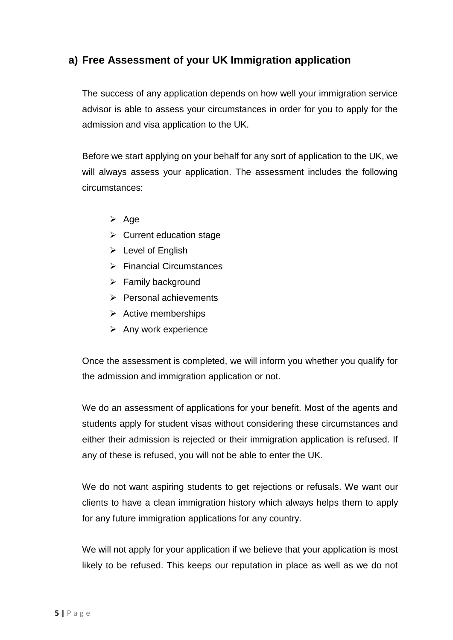### **a) Free Assessment of your UK Immigration application**

The success of any application depends on how well your immigration service advisor is able to assess your circumstances in order for you to apply for the admission and visa application to the UK.

Before we start applying on your behalf for any sort of application to the UK, we will always assess your application. The assessment includes the following circumstances:

- $\triangleright$  Age
- $\triangleright$  Current education stage
- $\triangleright$  Level of English
- $\triangleright$  Financial Circumstances
- $\triangleright$  Family background
- $\triangleright$  Personal achievements
- $\triangleright$  Active memberships
- $\triangleright$  Any work experience

Once the assessment is completed, we will inform you whether you qualify for the admission and immigration application or not.

We do an assessment of applications for your benefit. Most of the agents and students apply for student visas without considering these circumstances and either their admission is rejected or their immigration application is refused. If any of these is refused, you will not be able to enter the UK.

We do not want aspiring students to get rejections or refusals. We want our clients to have a clean immigration history which always helps them to apply for any future immigration applications for any country.

We will not apply for your application if we believe that your application is most likely to be refused. This keeps our reputation in place as well as we do not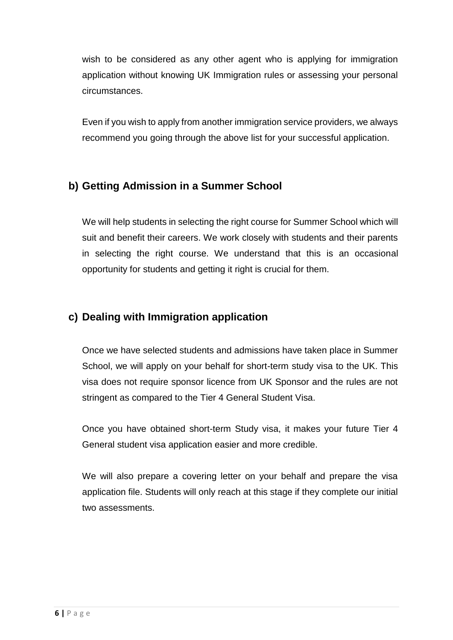wish to be considered as any other agent who is applying for immigration application without knowing UK Immigration rules or assessing your personal circumstances.

Even if you wish to apply from another immigration service providers, we always recommend you going through the above list for your successful application.

### **b) Getting Admission in a Summer School**

We will help students in selecting the right course for Summer School which will suit and benefit their careers. We work closely with students and their parents in selecting the right course. We understand that this is an occasional opportunity for students and getting it right is crucial for them.

### **c) Dealing with Immigration application**

Once we have selected students and admissions have taken place in Summer School, we will apply on your behalf for short-term study visa to the UK. This visa does not require sponsor licence from UK Sponsor and the rules are not stringent as compared to the Tier 4 General Student Visa.

Once you have obtained short-term Study visa, it makes your future Tier 4 General student visa application easier and more credible.

We will also prepare a covering letter on your behalf and prepare the visa application file. Students will only reach at this stage if they complete our initial two assessments.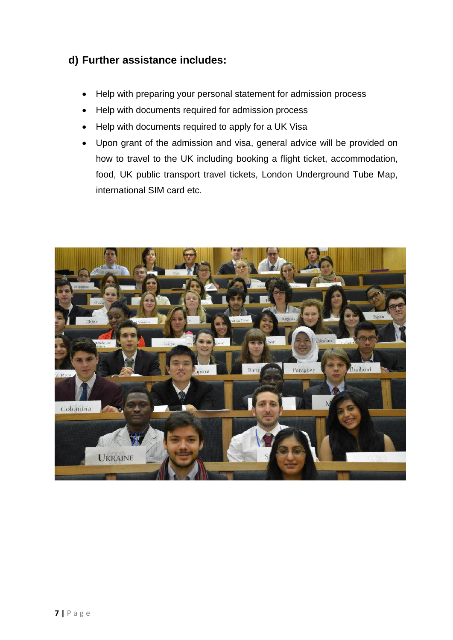### **d) Further assistance includes:**

- Help with preparing your personal statement for admission process
- Help with documents required for admission process
- Help with documents required to apply for a UK Visa
- Upon grant of the admission and visa, general advice will be provided on how to travel to the UK including booking a flight ticket, accommodation, food, UK public transport travel tickets, London Underground Tube Map, international SIM card etc.

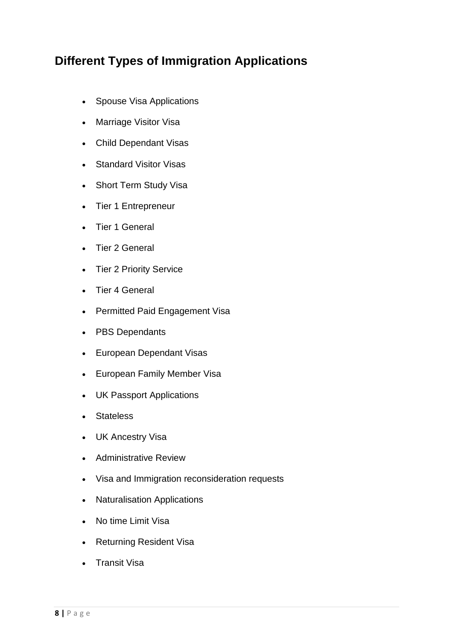# **Different Types of Immigration Applications**

- Spouse Visa Applications
- Marriage Visitor Visa
- Child Dependant Visas
- Standard Visitor Visas
- Short Term Study Visa
- Tier 1 Entrepreneur
- Tier 1 General
- Tier 2 General
- Tier 2 Priority Service
- Tier 4 General
- Permitted Paid Engagement Visa
- PBS Dependants
- European Dependant Visas
- European Family Member Visa
- UK Passport Applications
- Stateless
- UK Ancestry Visa
- Administrative Review
- Visa and Immigration reconsideration requests
- Naturalisation Applications
- . No time Limit Visa
- Returning Resident Visa
- Transit Visa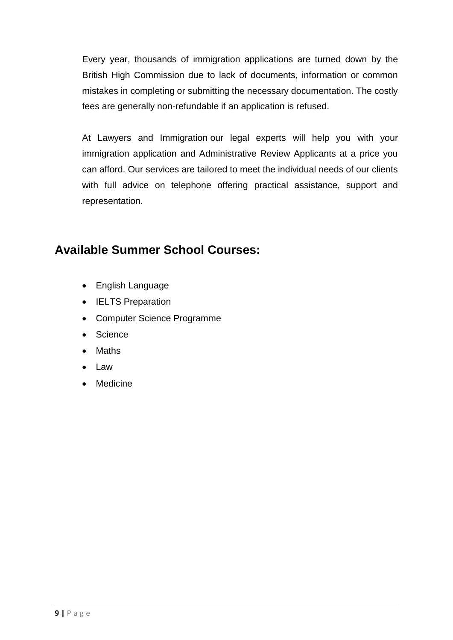Every year, thousands of immigration applications are turned down by the British High Commission due to lack of documents, information or common mistakes in completing or submitting the necessary documentation. The costly fees are generally non-refundable if an application is refused.

At Lawyers and Immigration our legal experts will help you with your immigration application and Administrative Review Applicants at a price you can afford. Our services are tailored to meet the individual needs of our clients with full advice on telephone offering practical assistance, support and representation.

### **Available Summer School Courses:**

- English Language
- IELTS Preparation
- Computer Science Programme
- Science
- Maths
- Law
- Medicine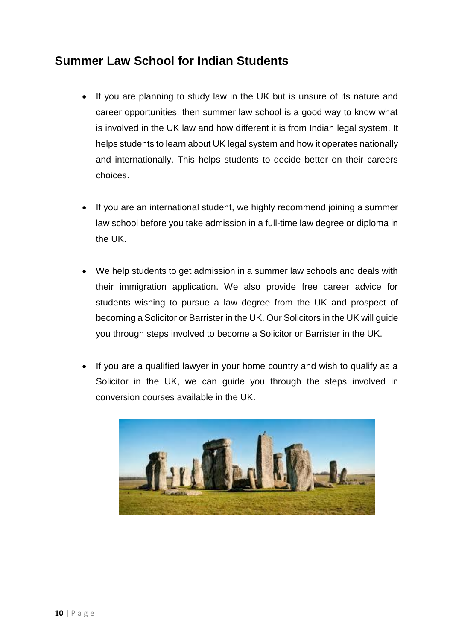# **Summer Law School for Indian Students**

- If you are planning to study law in the UK but is unsure of its nature and career opportunities, then summer law school is a good way to know what is involved in the UK law and how different it is from Indian legal system. It helps students to learn about UK legal system and how it operates nationally and internationally. This helps students to decide better on their careers choices.
- If you are an international student, we highly recommend joining a summer law school before you take admission in a full-time law degree or diploma in the UK.
- We help students to get admission in a summer law schools and deals with their immigration application. We also provide free career advice for students wishing to pursue a law degree from the UK and prospect of becoming a Solicitor or Barrister in the UK. Our Solicitors in the UK will guide you through steps involved to become a Solicitor or Barrister in the UK.
- If you are a qualified lawyer in your home country and wish to qualify as a Solicitor in the UK, we can guide you through the steps involved in conversion courses available in the UK.

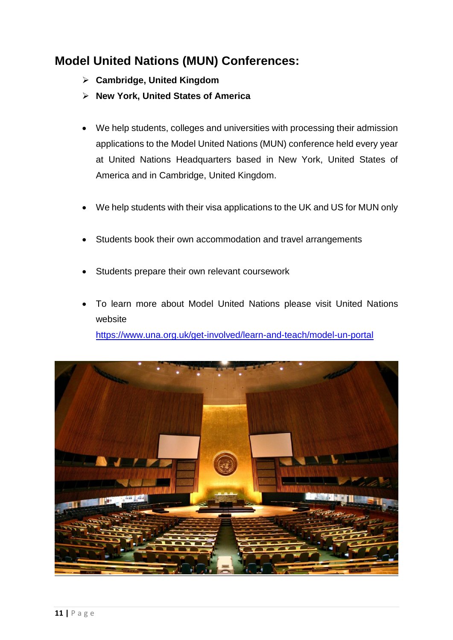# **Model United Nations (MUN) Conferences:**

- **Cambridge, United Kingdom**
- **New York, United States of America**
- We help students, colleges and universities with processing their admission applications to the Model United Nations (MUN) conference held every year at United Nations Headquarters based in New York, United States of America and in Cambridge, United Kingdom.
- We help students with their visa applications to the UK and US for MUN only
- Students book their own accommodation and travel arrangements
- Students prepare their own relevant coursework
- To learn more about Model United Nations please visit United Nations website <https://www.una.org.uk/get-involved/learn-and-teach/model-un-portal>

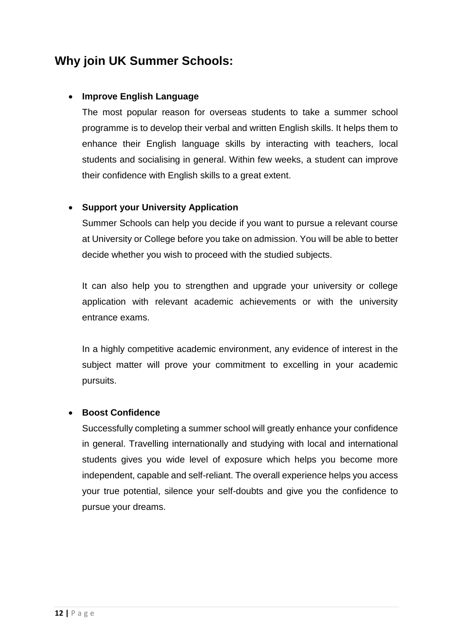# **Why join UK Summer Schools:**

#### **Improve English Language**

The most popular reason for overseas students to take a summer school programme is to develop their verbal and written English skills. It helps them to enhance their English language skills by interacting with teachers, local students and socialising in general. Within few weeks, a student can improve their confidence with English skills to a great extent.

#### **Support your University Application**

Summer Schools can help you decide if you want to pursue a relevant course at University or College before you take on admission. You will be able to better decide whether you wish to proceed with the studied subjects.

It can also help you to strengthen and upgrade your university or college application with relevant academic achievements or with the university entrance exams.

In a highly competitive academic environment, any evidence of interest in the subject matter will prove your commitment to excelling in your academic pursuits.

#### **Boost Confidence**

Successfully completing a summer school will greatly enhance your confidence in general. Travelling internationally and studying with local and international students gives you wide level of exposure which helps you become more independent, capable and self-reliant. The overall experience helps you access your true potential, silence your self-doubts and give you the confidence to pursue your dreams.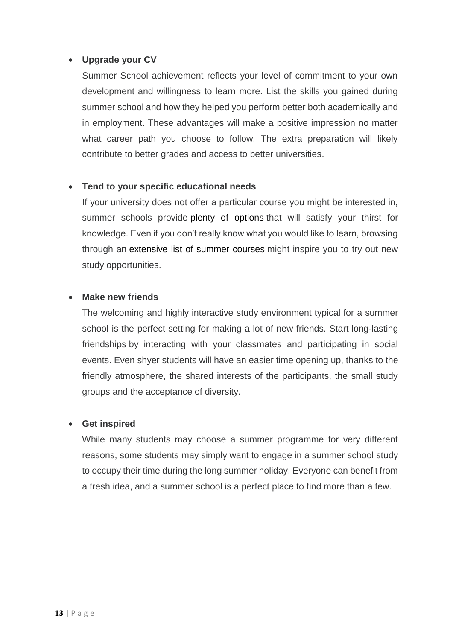#### **Upgrade your CV**

Summer School achievement reflects your level of commitment to your own development and willingness to learn more. List the skills you gained during summer school and how they helped you perform better both academically and in employment. These advantages will make a positive impression no matter what career path you choose to follow. The extra preparation will likely contribute to better grades and access to better universities.

#### **Tend to your specific educational needs**

If your university does not offer a particular course you might be interested in, summer schools provide plenty of [options](http://www.shortcoursesportal.com/disciplines/) that will satisfy your thirst for knowledge. Even if you don't really know what you would like to learn, browsing through an [extensive](http://www.shortcoursesportal.com/) list of summer courses might inspire you to try out new study opportunities.

#### **Make new friends**

The welcoming and highly interactive study environment typical for a summer school is the perfect setting for making a lot of new friends. Start long-lasting friendships by interacting with your classmates and participating in social events. Even shyer students will have an easier time opening up, thanks to the friendly atmosphere, the shared interests of the participants, the small study groups and the acceptance of diversity.

#### **Get inspired**

While many students may choose a summer programme for very different reasons, some students may simply want to engage in a summer school study to occupy their time during the long summer holiday. Everyone can benefit from a fresh idea, and a summer school is a perfect place to find more than a few.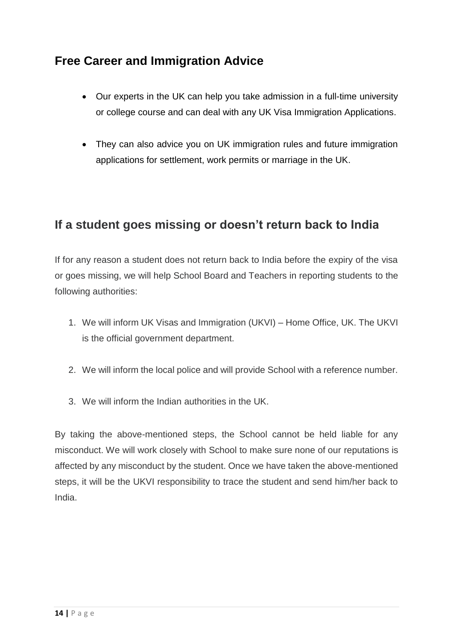# **Free Career and Immigration Advice**

- Our experts in the UK can help you take admission in a full-time university or college course and can deal with any UK Visa Immigration Applications.
- They can also advice you on UK immigration rules and future immigration applications for settlement, work permits or marriage in the UK.

### **If a student goes missing or doesn't return back to India**

If for any reason a student does not return back to India before the expiry of the visa or goes missing, we will help School Board and Teachers in reporting students to the following authorities:

- 1. We will inform UK Visas and Immigration (UKVI) Home Office, UK. The UKVI is the official government department.
- 2. We will inform the local police and will provide School with a reference number.
- 3. We will inform the Indian authorities in the UK.

By taking the above-mentioned steps, the School cannot be held liable for any misconduct. We will work closely with School to make sure none of our reputations is affected by any misconduct by the student. Once we have taken the above-mentioned steps, it will be the UKVI responsibility to trace the student and send him/her back to India.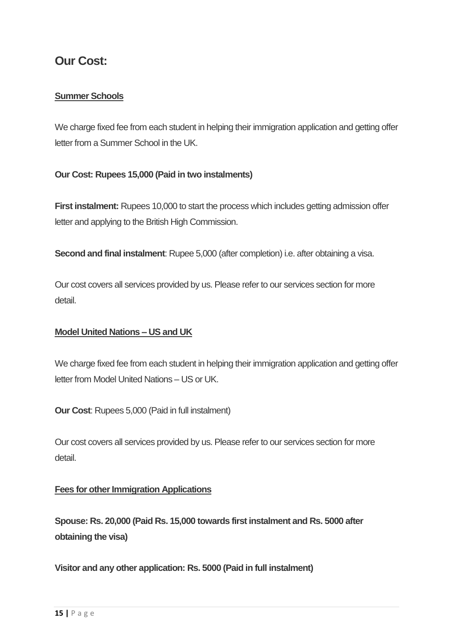### **Our Cost:**

#### **Summer Schools**

We charge fixed fee from each student in helping their immigration application and getting offer letter from a Summer School in the UK.

#### **Our Cost: Rupees 15,000 (Paid in two instalments)**

**First instalment:** Rupees 10,000 to start the process which includes getting admission offer letter and applying to the British High Commission.

**Second and final instalment**: Rupee 5,000 (after completion) i.e. after obtaining a visa.

Our cost covers all services provided by us. Please refer to our services section for more detail.

#### **Model United Nations – US and UK**

We charge fixed fee from each student in helping their immigration application and getting offer letter from Model United Nations – US or UK.

**Our Cost**: Rupees 5,000 (Paid in full instalment)

Our cost covers all services provided by us. Please refer to our services section for more detail.

#### **Fees for other Immigration Applications**

**Spouse: Rs. 20,000 (Paid Rs. 15,000 towards first instalment and Rs. 5000 after obtaining the visa)**

**Visitor and any other application: Rs. 5000 (Paid in full instalment)**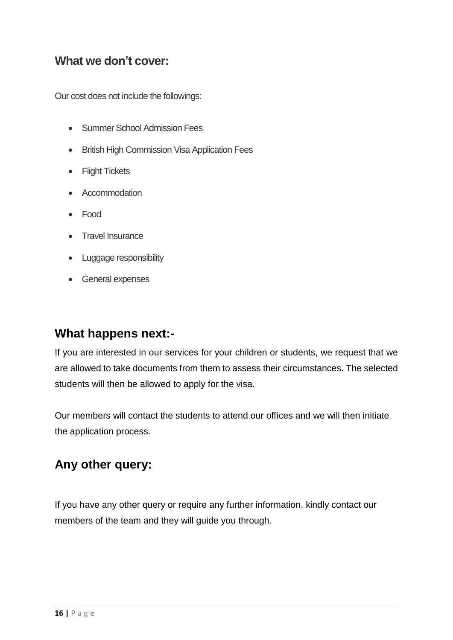### **What we don't cover:**

Our cost does not include the followings:

- Summer School Admission Fees
- **•** British High Commission Visa Application Fees
- Flight Tickets
- Accommodation
- Food
- Travel Insurance
- Luggage responsibility
- General expenses

### **What happens next:-**

If you are interested in our services for your children or students, we request that we are allowed to take documents from them to assess their circumstances. The selected students will then be allowed to apply for the visa.

Our members will contact the students to attend our offices and we will then initiate the application process.

### **Any other query:**

If you have any other query or require any further information, kindly contact our members of the team and they will guide you through.